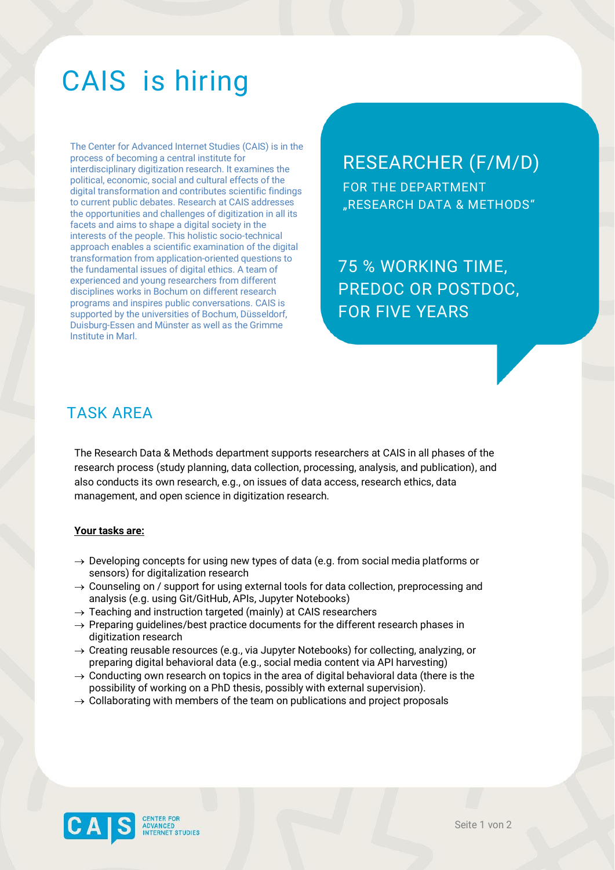# CAIS is hiring

The Center for Advanced Internet Studies (CAIS) is in the process of becoming a central institute for interdisciplinary digitization research. It examines the political, economic, social and cultural effects of the digital transformation and contributes scientific findings to current public debates. Research at CAIS addresses the opportunities and challenges of digitization in all its facets and aims to shape a digital society in the interests of the people. This holistic socio-technical approach enables a scientific examination of the digital transformation from application-oriented questions to the fundamental issues of digital ethics. A team of experienced and young researchers from different disciplines works in Bochum on different research programs and inspires public conversations. CAIS is supported by the universities of Bochum, Düsseldorf, Duisburg-Essen and Münster as well as the Grimme Institute in Marl.

# RESEARCHER (F/M/D)

FOR THE DEPARTMENT "RESEARCH DATA & METHODS"

75 % WORKING TIME, PREDOC OR POSTDOC, FOR FIVE YEARS

ZUM NÄCHSTMÄGLICHEN TERMINGEN

### TASK AREA

The Research Data & Methods department supports researchers at CAIS in all phases of the research process (study planning, data collection, processing, analysis, and publication), and also conducts its own research, e.g., on issues of data access, research ethics, data management, and open science in digitization research.

### **Your tasks are:**

- $\rightarrow$  Developing concepts for using new types of data (e.g. from social media platforms or sensors) for digitalization research
- $\rightarrow$  Counseling on / support for using external tools for data collection, preprocessing and analysis (e.g. using Git/GitHub, APIs, Jupyter Notebooks)
- $\rightarrow$  Teaching and instruction targeted (mainly) at CAIS researchers
- $\rightarrow$  Preparing guidelines/best practice documents for the different research phases in digitization research
- → Creating reusable resources (e.g., via Jupyter Notebooks) for collecting, analyzing, or preparing digital behavioral data (e.g., social media content via API harvesting)
- $\rightarrow$  Conducting own research on topics in the area of digital behavioral data (there is the possibility of working on a PhD thesis, possibly with external supervision).
- $\rightarrow$  Collaborating with members of the team on publications and project proposals